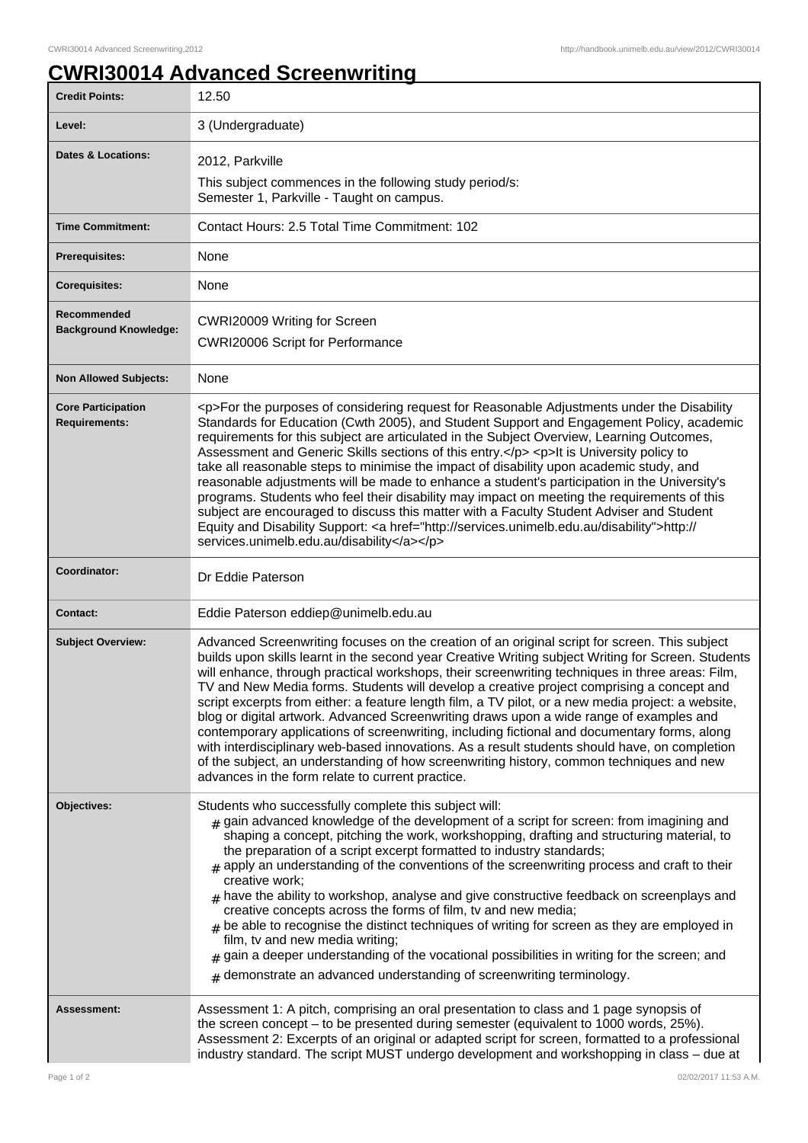## **CWRI30014 Advanced Screenwriting**

| <b>Credit Points:</b>                             | 12.50                                                                                                                                                                                                                                                                                                                                                                                                                                                                                                                                                                                                                                                                                                                                                                                                                                                                                                                                                 |
|---------------------------------------------------|-------------------------------------------------------------------------------------------------------------------------------------------------------------------------------------------------------------------------------------------------------------------------------------------------------------------------------------------------------------------------------------------------------------------------------------------------------------------------------------------------------------------------------------------------------------------------------------------------------------------------------------------------------------------------------------------------------------------------------------------------------------------------------------------------------------------------------------------------------------------------------------------------------------------------------------------------------|
| Level:                                            | 3 (Undergraduate)                                                                                                                                                                                                                                                                                                                                                                                                                                                                                                                                                                                                                                                                                                                                                                                                                                                                                                                                     |
| <b>Dates &amp; Locations:</b>                     | 2012, Parkville                                                                                                                                                                                                                                                                                                                                                                                                                                                                                                                                                                                                                                                                                                                                                                                                                                                                                                                                       |
|                                                   | This subject commences in the following study period/s:<br>Semester 1, Parkville - Taught on campus.                                                                                                                                                                                                                                                                                                                                                                                                                                                                                                                                                                                                                                                                                                                                                                                                                                                  |
| <b>Time Commitment:</b>                           | Contact Hours: 2.5 Total Time Commitment: 102                                                                                                                                                                                                                                                                                                                                                                                                                                                                                                                                                                                                                                                                                                                                                                                                                                                                                                         |
| Prerequisites:                                    | None                                                                                                                                                                                                                                                                                                                                                                                                                                                                                                                                                                                                                                                                                                                                                                                                                                                                                                                                                  |
| <b>Corequisites:</b>                              | None                                                                                                                                                                                                                                                                                                                                                                                                                                                                                                                                                                                                                                                                                                                                                                                                                                                                                                                                                  |
| Recommended<br><b>Background Knowledge:</b>       | CWRI20009 Writing for Screen<br><b>CWRI20006 Script for Performance</b>                                                                                                                                                                                                                                                                                                                                                                                                                                                                                                                                                                                                                                                                                                                                                                                                                                                                               |
| <b>Non Allowed Subjects:</b>                      | None                                                                                                                                                                                                                                                                                                                                                                                                                                                                                                                                                                                                                                                                                                                                                                                                                                                                                                                                                  |
| <b>Core Participation</b><br><b>Requirements:</b> | <p>For the purposes of considering request for Reasonable Adjustments under the Disability<br/>Standards for Education (Cwth 2005), and Student Support and Engagement Policy, academic<br/>requirements for this subject are articulated in the Subject Overview, Learning Outcomes,<br/>Assessment and Generic Skills sections of this entry.</p> <p>lt is University policy to<br/>take all reasonable steps to minimise the impact of disability upon academic study, and<br/>reasonable adjustments will be made to enhance a student's participation in the University's<br/>programs. Students who feel their disability may impact on meeting the requirements of this<br/>subject are encouraged to discuss this matter with a Faculty Student Adviser and Student<br/>Equity and Disability Support: <a href="http://services.unimelb.edu.au/disability">http://<br/>services.unimelb.edu.au/disability</a></p>                             |
| Coordinator:                                      | Dr Eddie Paterson                                                                                                                                                                                                                                                                                                                                                                                                                                                                                                                                                                                                                                                                                                                                                                                                                                                                                                                                     |
| <b>Contact:</b>                                   | Eddie Paterson eddiep@unimelb.edu.au                                                                                                                                                                                                                                                                                                                                                                                                                                                                                                                                                                                                                                                                                                                                                                                                                                                                                                                  |
| <b>Subject Overview:</b>                          | Advanced Screenwriting focuses on the creation of an original script for screen. This subject<br>builds upon skills learnt in the second year Creative Writing subject Writing for Screen. Students<br>will enhance, through practical workshops, their screenwriting techniques in three areas: Film,<br>TV and New Media forms. Students will develop a creative project comprising a concept and<br>script excerpts from either: a feature length film, a TV pilot, or a new media project: a website,<br>blog or digital artwork. Advanced Screenwriting draws upon a wide range of examples and<br>contemporary applications of screenwriting, including fictional and documentary forms, along<br>with interdisciplinary web-based innovations. As a result students should have, on completion<br>of the subject, an understanding of how screenwriting history, common techniques and new<br>advances in the form relate to current practice. |
| Objectives:                                       | Students who successfully complete this subject will:<br>$_{\#}$ gain advanced knowledge of the development of a script for screen: from imagining and<br>shaping a concept, pitching the work, workshopping, drafting and structuring material, to<br>the preparation of a script excerpt formatted to industry standards;<br>$#$ apply an understanding of the conventions of the screenwriting process and craft to their<br>creative work;<br>$_{\text{\#}}$ have the ability to workshop, analyse and give constructive feedback on screenplays and<br>creative concepts across the forms of film, tv and new media;<br>$_{\text{\#}}$ be able to recognise the distinct techniques of writing for screen as they are employed in<br>film, tv and new media writing;<br>gain a deeper understanding of the vocational possibilities in writing for the screen; and<br>$#$ demonstrate an advanced understanding of screenwriting terminology.    |
| Assessment:                                       | Assessment 1: A pitch, comprising an oral presentation to class and 1 page synopsis of<br>the screen concept – to be presented during semester (equivalent to 1000 words, 25%).<br>Assessment 2: Excerpts of an original or adapted script for screen, formatted to a professional<br>industry standard. The script MUST undergo development and workshopping in class - due at                                                                                                                                                                                                                                                                                                                                                                                                                                                                                                                                                                       |